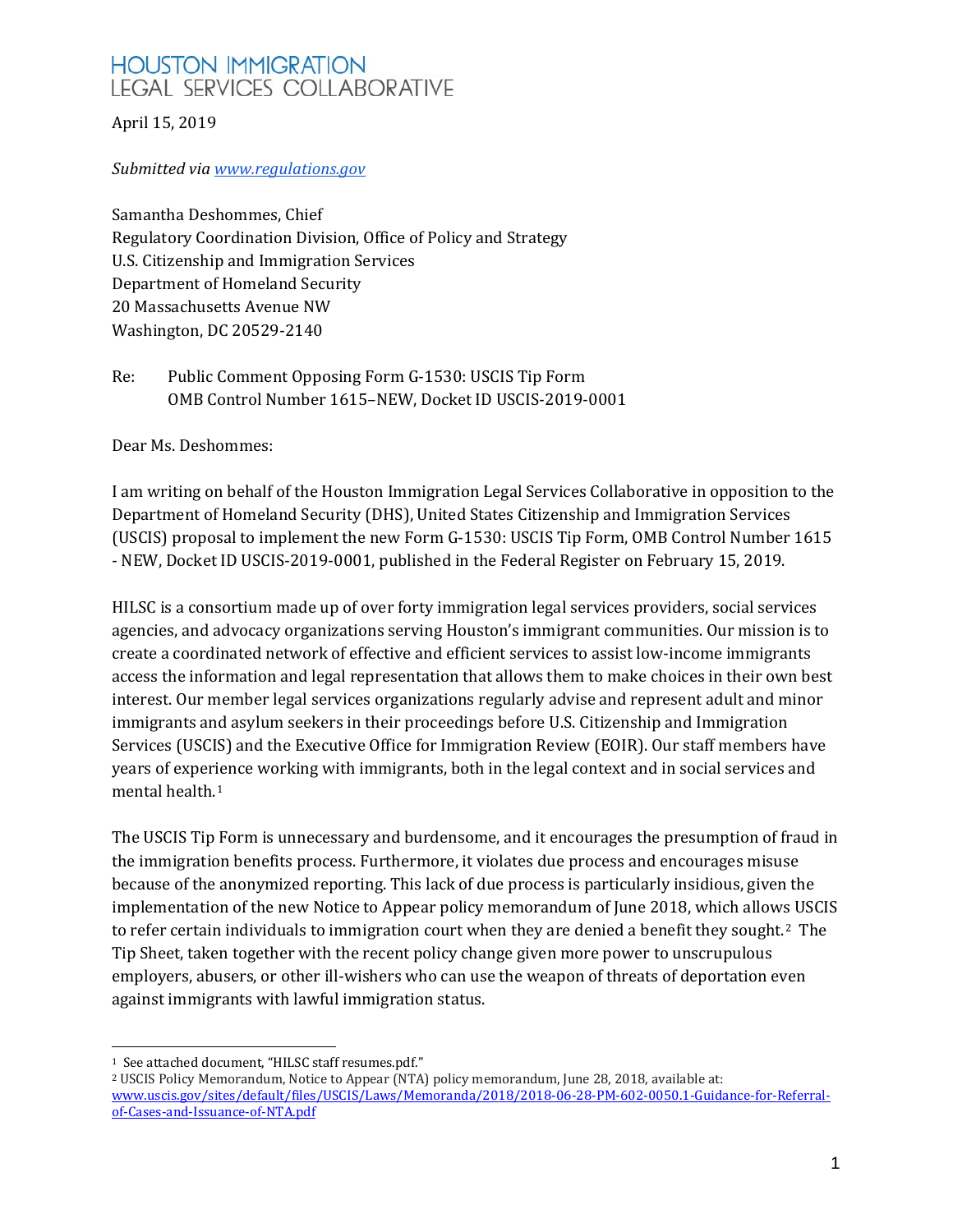April 15, 2019

#### *Submitted vi[a](http://www.regulations.gov/) [www.regulations.gov](http://www.regulations.gov/)*

Samantha Deshommes, Chief Regulatory Coordination Division, Office of Policy and Strategy U.S. Citizenship and Immigration Services Department of Homeland Security 20 Massachusetts Avenue NW Washington, DC 20529-2140

Re: Public Comment Opposing Form G-1530: USCIS Tip Form OMB Control Number 1615–NEW, Docket ID USCIS-2019-0001

Dear Ms. Deshommes:

I am writing on behalf of the Houston Immigration Legal Services Collaborative in opposition to the Department of Homeland Security (DHS), United States Citizenship and Immigration Services (USCIS) proposal to implement the new Form G-1530: USCIS Tip Form, OMB Control Number 1615 - NEW, Docket ID USCIS-2019-0001, published in the Federal Register on February 15, 2019.

HILSC is a consortium made up of over forty immigration legal services providers, social services agencies, and advocacy organizations serving Houston's immigrant communities. Our mission is to create a coordinated network of effective and efficient services to assist low-income immigrants access the information and legal representation that allows them to make choices in their own best interest. Our member legal services organizations regularly advise and represent adult and minor immigrants and asylum seekers in their proceedings before U.S. Citizenship and Immigration Services (USCIS) and the Executive Office for Immigration Review (EOIR). Our staff members have years of experience working with immigrants, both in the legal context and in social services and mental health.[1](#page-0-0)

The USCIS Tip Form is unnecessary and burdensome, and it encourages the presumption of fraud in the immigration benefits process. Furthermore, it violates due process and encourages misuse because of the anonymized reporting. This lack of due process is particularly insidious, given the implementation of the new Notice to Appear policy memorandum of June 2018, which allow[s](#page-0-1) USCIS to refer certain individuals to immigration court when they are denied a benefit they sought.<sup>2</sup> The Tip Sheet, taken together with the recent policy change given more power to unscrupulous employers, abusers, or other ill-wishers who can use the weapon of threats of deportation even against immigrants with lawful immigration status.

<span id="page-0-0"></span><sup>&</sup>lt;sup>1</sup> See attached document, "HILSC staff resumes.pdf."

<span id="page-0-1"></span><sup>&</sup>lt;sup>2</sup> USCIS Policy Memorandum, Notice to Appear (NTA) policy memorandum, June 28, 2018, available at: [www.uscis.gov/sites/default/files/USCIS/Laws/Memoranda/2018/2018-06-28-PM-602-0050.1-Guidance-for-Referral](http://www.uscis.gov/sites/default/files/USCIS/Laws/Memoranda/2018/2018-06-28-PM-602-0050.1-Guidance-for-Referral-of-Cases-and-Issuance-of-NTA.pdf)[of-Cases-and-Issuance-of-NTA.pdf](http://www.uscis.gov/sites/default/files/USCIS/Laws/Memoranda/2018/2018-06-28-PM-602-0050.1-Guidance-for-Referral-of-Cases-and-Issuance-of-NTA.pdf)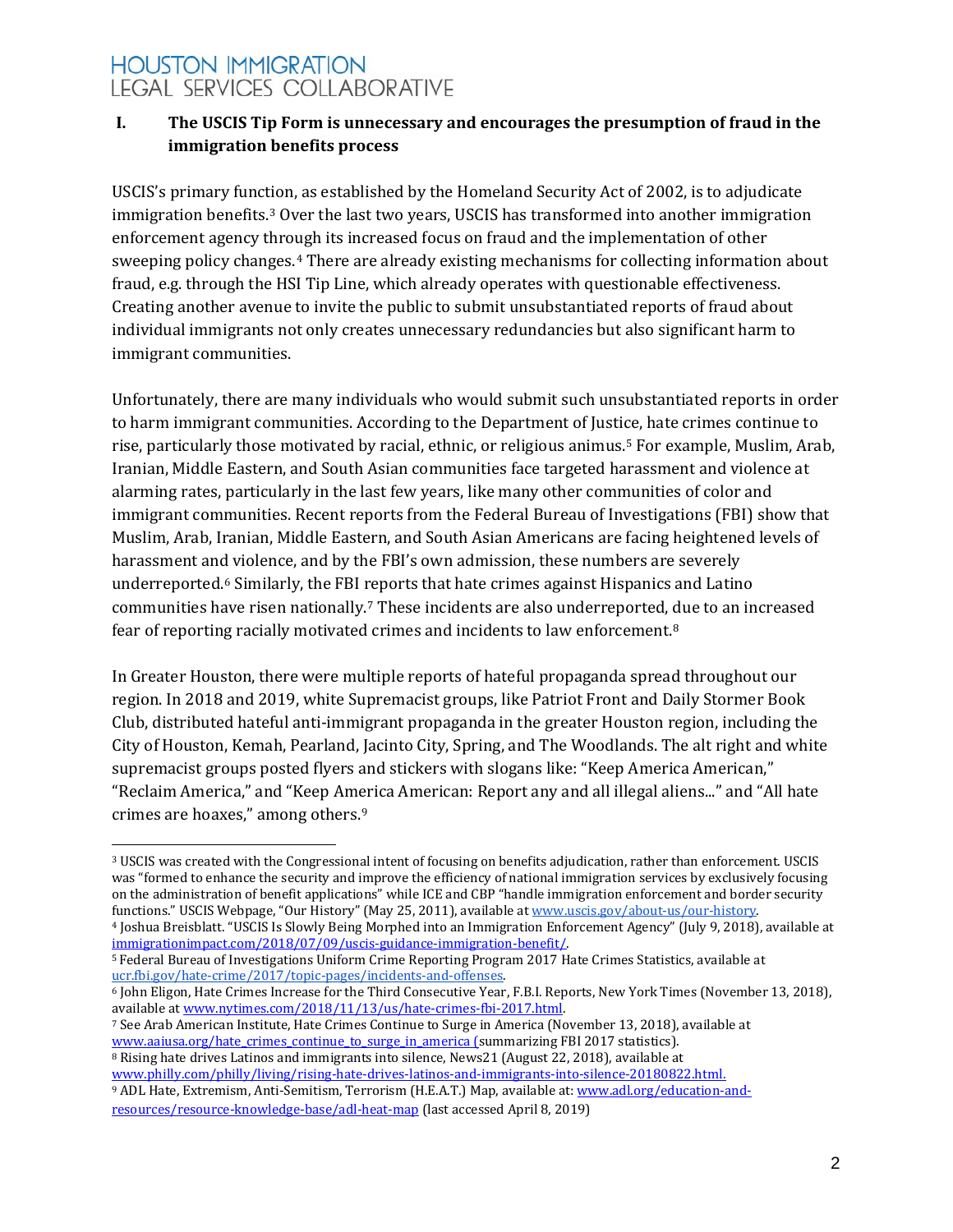### **I. The USCIS Tip Form is unnecessary and encourages the presumption of fraud in the immigration benefits process**

USCIS's primary function, as established by the Homeland Security Act of 2002, is to adjudicate immigration benefits.[3](#page-1-0) Over the last two years, USCIS has transformed into another immigration enforcement agency thro[u](#page-1-1)gh its increased focus on fraud and the implementation of other sweeping policy changes.4 There are already existing mechanisms for collecting information about fraud, e.g. through the HSI Tip Line, which already operates with questionable effectiveness. Creating another avenue to invite the public to submit unsubstantiated reports of fraud about individual immigrants not only creates unnecessary redundancies but also significant harm to immigrant communities.

Unfortunately, there are many individuals who would submit such unsubstantiated reports in order to harm immigrant communities. According to the Department of Justi[ce](#page-1-2), hate crimes continue to rise, particularly those motivated by racial, ethnic, or religious animus.5 For example, Muslim, Arab, Iranian, Middle Eastern, and South Asian communities face targeted harassment and violence at alarming rates, particularly in the last few years, like many other communities of color and immigrant communities. Recent reports from the Federal Bureau of Investigations (FBI) show that Muslim, Arab, Iranian, Middle Eastern, and South Asian Americans are facing heightened levels of harassment and violence, and by the FBI's own admission, these numbers are severely underreported.[6](#page-1-3) Similarly, the FBI reports that hate crimes against Hispanics and Latino communities have risen nationally.[7](#page-1-4) These incidents are also underreported, [d](#page-1-5)ue to an increased fear of reporting racially motivated crimes and incidents to law enforcement.8

In Greater Houston, there were multiple reports of hateful propaganda spread throughout our region. In 2018 and 2019, white Supremacist groups, like Patriot Front and Daily Stormer Book Club, distributed hateful anti-immigrant propaganda in the greater Houston region, including the City of Houston, Kemah, Pearland, Jacinto City, Spring, and The Woodlands. The alt right and white supremacist groups posted flyers and stickers with slogans like: "Keep America American," "Reclaim America," and "Keep Am[er](#page-1-6)ica American: Report any and all illegal aliens..." and "All hate crimes are hoaxes," among others.9

<span id="page-1-4"></span><sup>7</sup> See Arab American Institute, Hate Crimes Continue to Surge in America (November 13, 2018), available at www.aaiusa.org/hate crimes continue to surge in america (summarizing FBI 2017 statistics).

<span id="page-1-5"></span><sup>8</sup> Rising hate drives Latinos and immigrants into silence, News21 [\(](http://www.aaiusa.org/hate_crimes_continue_to_surge_in_america)August 22, 2018), available at [www.philly.com/philly/living/rising-hate-drives-latinos-and-immigrants-into-silence-20180822.html.](https://www.philly.com/philly/living/rising-hate-drives-latinos-and-immigrants-into-silence-20180822.html)

<span id="page-1-6"></span><sup>9</sup> ADL Hate, Extremism, Anti-Semitism, Terrorism (H.E.A.T.) Map, available at: [www.adl.org/education-and](https://www.adl.org/education-and-resources/resource-knowledge-base/adl-heat-map)[resources/resource-knowledge-base/adl-heat-map](https://www.adl.org/education-and-resources/resource-knowledge-base/adl-heat-map) (last accessed April 8, 2019)

<span id="page-1-0"></span> $\ddot{\phantom{a}}$ <sup>3</sup> USCIS was created with the Congressional intent of focusing on benefits adjudication, rather than enforcement. USCIS was "formed to enhance the security and improve the efficiency of national immigration services by exclusively focusing on the administration of benefit applications" while ICE and CBP "handle immigration enforcement and border security<br>functions." USCIS Webpage, "Our History" (May 25, 2011), available at www.uscis.gov/about-us/our-history. <sup>4</sup> Joshua Breisblatt. "USCIS Is Slowly Being Morphed into an Immigration Enforcement Agency" (July 9, 2018), available at immigrationimpact.com/2018/07/09/uscis-guidance-immigration-benefit/.

<span id="page-1-2"></span><span id="page-1-1"></span><sup>&</sup>lt;sup>5</sup> Federal Bureau of Investigations Uniform Crime Reporting Program 2017 Hate Crimes Statistics, available at [ucr.fbi.gov/hate-crime/2017/topic-pages/incidents-and-offenses.](https://ucr.fbi.gov/hate-crime/2017/topic-pages/incidents-and-offenses)

<span id="page-1-3"></span> $6$  John Eligon, Hate Crimes Increase for the Third Consecutive Year, F.B.I. Reports, New York Times (November 13, 2018), available at www.nytimes.com/2018/11/13/us/hate-crimes-fbi-2017.html.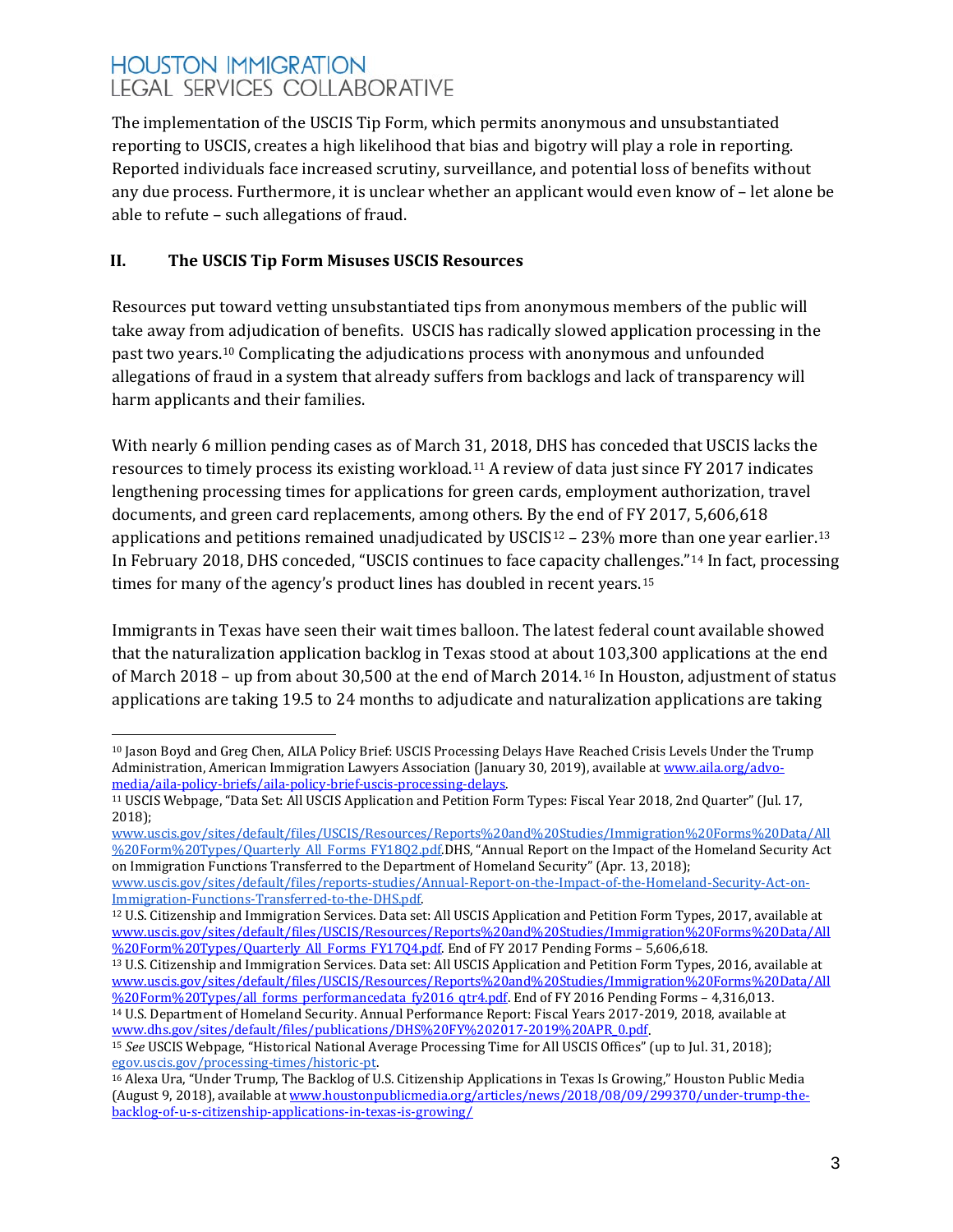The implementation of the USCIS Tip Form, which permits anonymous and unsubstantiated reporting to USCIS, creates a high likelihood that bias and bigotry will play a role in reporting. Reported individuals face increased scrutiny, surveillance, and potential loss of benefits without any due process. Furthermore, it is unclear whether an applicant would even know of – let alone be able to refute – such allegations of fraud.

### **II. The USCIS Tip Form Misuses USCIS Resources**

Resources put toward vetting unsubstantiated tips from anonymous members of the public will take away from adjudication of benefits. USCIS has radically slowed application processing in the past two years.[10](#page-2-0) Complicating the adjudications process with anonymous and unfounded allegations of fraud in a system that already suffers from backlogs and lack of transparency will harm applicants and their families.

With nearly 6 million pending cases as of March 31, 2018, DHS has conceded that USCIS lacks the resources to timely process its existing workload.[11](#page-2-1) A review of data just since FY 2017 indicates lengthening processing times for applications for green cards, employment authorization, travel documents, and green card replacements, among others. By the end of FY 2017, 5,606,618 applications and petitions remained unadjudicated by USCIS $12 - 23\%$  $12 - 23\%$  more than one year earlier.<sup>[13](#page-2-3)</sup> In February 2018, DHS conceded, "USCIS continues to face capacity chall[en](#page-2-5)ges."[14](#page-2-4) In fact, processing times for many of the agency's product lines has doubled in recent years.<sup>15</sup>

Immigrants in Texas have seen their wait times balloon. The latest federal count available showed that the naturalization application backlog in Texas stood at about 103,300 applications at the end of March 2018 – up from about 30,500 at the end of March 2014.[16](#page-2-6) In Houston, adjustment of status applications are taking 19.5 to 24 months to adjudicate and naturalization applications are taking

[www.uscis.gov/sites/default/files/USCIS/Resources/Reports%20and%20Studies/Immigration%20Forms%20Data/All](https://www.uscis.gov/sites/default/files/USCIS/Resources/Reports%20and%20Studies/Immigration%20Forms%20Data/All%20Form%20Types/Quarterly_All_Forms_FY18Q2.pdf) [%20Form%20Types/Quarterly\\_All\\_Forms\\_FY18Q2.pdf.D](https://www.uscis.gov/sites/default/files/USCIS/Resources/Reports%20and%20Studies/Immigration%20Forms%20Data/All%20Form%20Types/Quarterly_All_Forms_FY18Q2.pdf)HS, "Annual Report on the Impact of the Homeland Security Act on Immigration Functions Transferred to the Department of Homeland Security" (Apr. 13, 2018)[;](https://www.uscis.gov/sites/default/files/reports-studies/Annual-Report-on-the-Impact-of-the-Homeland-Security-Act-on-Immigration-Functions-Transferred-to-the-DHS.pdf)

[www.uscis.gov/sites/default/files/reports-studies/Annual-Report-on-the-Impact-of-the-Homeland-Security-Act-on-](https://www.uscis.gov/sites/default/files/reports-studies/Annual-Report-on-the-Impact-of-the-Homeland-Security-Act-on-Immigration-Functions-Transferred-to-the-DHS.pdf)[Immigration-Functions-Transferred-to-the-DHS.pdf.](https://www.uscis.gov/sites/default/files/reports-studies/Annual-Report-on-the-Impact-of-the-Homeland-Security-Act-on-Immigration-Functions-Transferred-to-the-DHS.pdf)

<span id="page-2-0"></span> $\overline{a}$ <sup>10</sup> Jason Boyd and Greg Chen, AILA Policy Brief: USCIS Processing Delays Have Reached Crisis Levels Under the Trump Administration, American Immigration Lawyers Association (January 30, 2019), available at www.aila.org/advo-<br>media/aila-policy-briefs/aila-policy-brief-uscis-processing-delays.

<span id="page-2-1"></span><sup>&</sup>lt;sup>11</sup> USCIS Webpage, "Data Set: All USCIS Application and Petition Form Types: Fiscal Year 2018, 2nd Quarter" (Jul. 17, 2018[\);](https://www.uscis.gov/sites/default/files/USCIS/Resources/Reports%20and%20Studies/Immigration%20Forms%20Data/All%20Form%20Types/Quarterly_All_Forms_FY18Q2.pdf)

<span id="page-2-2"></span><sup>12</sup> U.S. Citizenship and Immigration Services. Data set: All USCIS Application and Petition Form Types, 2017, available at [www.uscis.gov/sites/default/files/USCIS/Resources/Reports%20and%20Studies/Immigration%20Forms%20Data/All](https://www.uscis.gov/sites/default/files/USCIS/Resources/Reports%20and%20Studies/Immigration%20Forms%20Data/All%20Form%20Types/Quarterly_All_Forms_FY17Q4.pdf) [%20Form%20Types/Quarterly\\_All\\_Forms\\_FY17Q4.pdf.](https://www.uscis.gov/sites/default/files/USCIS/Resources/Reports%20and%20Studies/Immigration%20Forms%20Data/All%20Form%20Types/Quarterly_All_Forms_FY17Q4.pdf) End of FY 2017 Pending Forms - 5,606,618.

<span id="page-2-3"></span><sup>13</sup> U.S. Citizenship and Immigration Services. Data set: All USCIS Application and Petition Form Types, 2016, available at [www.uscis.gov/sites/default/files/USCIS/Resources/Reports%20and%20Studies/Immigration%20Forms%20Data/All](https://www.uscis.gov/sites/default/files/USCIS/Resources/Reports%20and%20Studies/Immigration%20Forms%20Data/All%20Form%20Types/all_forms_performancedata_fy2016_qtr4.pdf) [%20Form%20Types/all\\_forms\\_performancedata\\_fy2016\\_qtr4.pdf.](https://www.uscis.gov/sites/default/files/USCIS/Resources/Reports%20and%20Studies/Immigration%20Forms%20Data/All%20Form%20Types/all_forms_performancedata_fy2016_qtr4.pdf) End of FY 2016 Pending Forms – 4,316,013.

<span id="page-2-4"></span><sup>14</sup> U.S. Department of Homeland Security. Annual Performance Report: Fiscal Years 2017-2019, 2018, available at [www.dhs.gov/sites/default/files/publications/DHS%20FY%202017-2019%20APR\\_0.pdf.](https://www.dhs.gov/sites/default/files/publications/DHS%20FY%202017-2019%20APR_0.pdf)

<span id="page-2-5"></span><sup>15</sup> *See* USCIS Webpage, "Historical National Average Processing Time for All USCIS Offices" (up to Jul. 31, 2018[\);](https://egov.uscis.gov/processing-times/historic-pt) [egov.uscis.gov/processing-times/historic-pt.](https://egov.uscis.gov/processing-times/historic-pt)

<span id="page-2-6"></span><sup>16</sup> Alexa Ura, "Under Trump, The Backlog of U.S. Citizenship Applications in Texas Is Growing," Houston Public Media (August 9, 2018), available a[t www.houstonpublicmedia.org/articles/news/2018/08/09/299370/under-trump-the](https://www.houstonpublicmedia.org/articles/news/2018/08/09/299370/under-trump-the-backlog-of-u-s-citizenship-applications-in-texas-is-growing/)[backlog-of-u-s-citizenship-applications-in-texas-is-growing/](https://www.houstonpublicmedia.org/articles/news/2018/08/09/299370/under-trump-the-backlog-of-u-s-citizenship-applications-in-texas-is-growing/)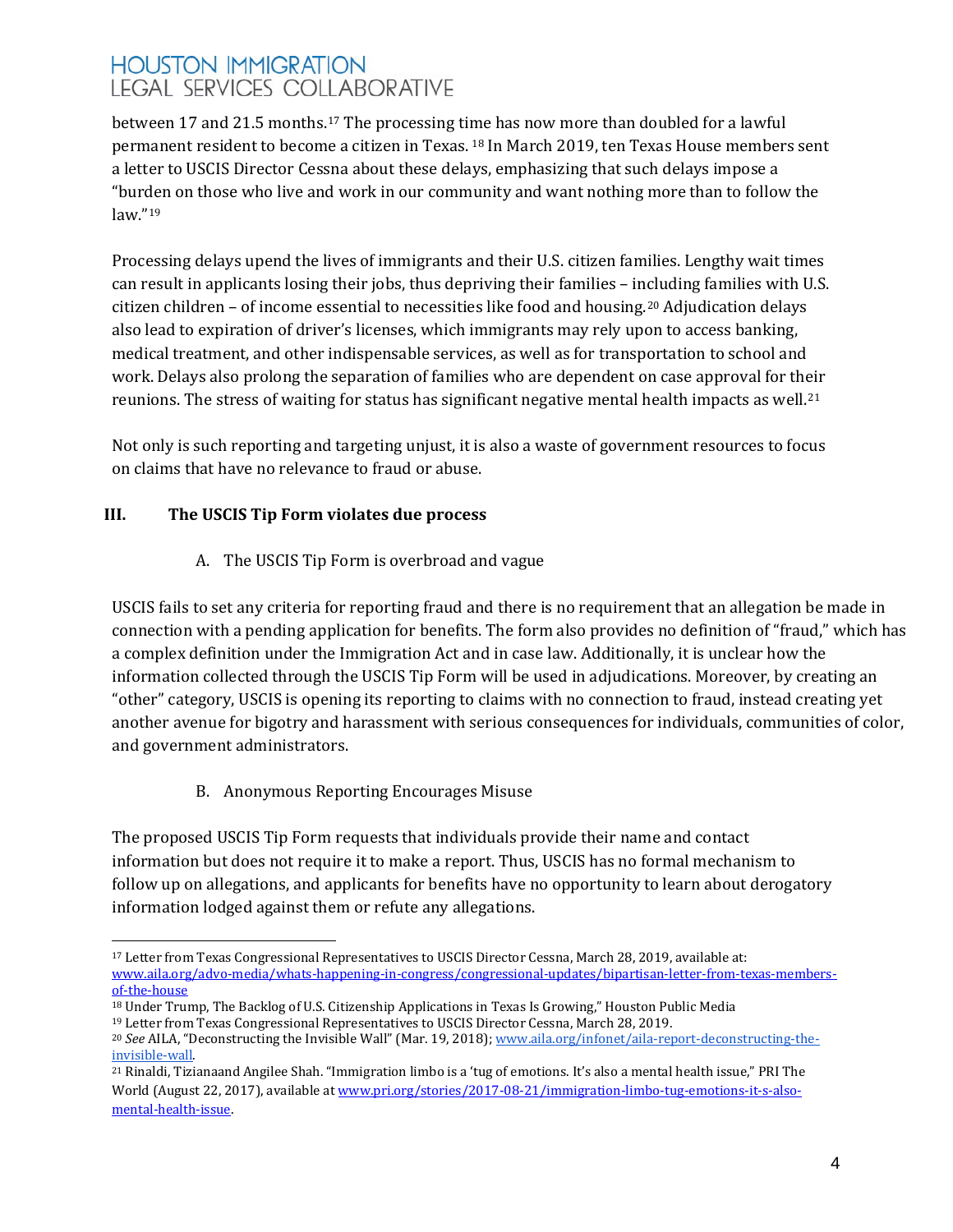between 17 and 21.5 months.[17](#page-3-0) The processing ti[me](#page-3-1) has now more than doubled for a lawful permanent resident to become a citizen in Texas. <sup>18</sup> In March 2019, ten Texas House members sent a letter to USCIS Director Cessna about these delays, emphasizing that such delays impose a "bur[de](#page-3-2)n on those who live and work in our community and want nothing more than to follow the law."19

Processing delays upend the lives of immigrants and their U.S. citizen families. Lengthy wait times can result in applicants losing their jobs, thus depriving their families – including families with U.S. citizen children – of income essential to necessities like food and housing.[20](#page-3-3) Adjudication delays also lead to expiration of driver's licenses, which immigrants may rely upon to access banking, medical treatment, and other indispensable services, as well as for transportation to school and work. Delays also prolong the separation of families who are dependent on case approval for their reunions. The stress of waiting for status has significant negative mental health impacts as well.[21](#page-3-4)

Not only is such reporting and targeting unjust, it is also a waste of government resources to focus on claims that have no relevance to fraud or abuse.

### **III. The USCIS Tip Form violates due process**

A. The USCIS Tip Form is overbroad and vague

USCIS fails to set any criteria for reporting fraud and there is no requirement that an allegation be made in connection with a pending application for benefits. The form also provides no definition of "fraud," which has a complex definition under the Immigration Act and in case law. Additionally, it is unclear how the information collected through the USCIS Tip Form will be used in adjudications. Moreover, by creating an "other" category, USCIS is opening its reporting to claims with no connection to fraud, instead creating yet another avenue for bigotry and harassment with serious consequences for individuals, communities of color, and government administrators.

B. Anonymous Reporting Encourages Misuse

The proposed USCIS Tip Form requests that individuals provide their name and contact information but does not require it to make a report. Thus, USCIS has no formal mechanism to follow up on allegations, and applicants for benefits have no opportunity to learn about derogatory information lodged against them or refute any allegations.

<span id="page-3-0"></span> $\overline{a}$ <sup>17</sup> Letter from Texas Congressional Representatives to USCIS Director Cessna, March 28, 2019, available at: [www.aila.org/advo-media/whats-happening-in-congress/congressional-updates/bipartisan-letter-from-texas-members](http://www.aila.org/advo-media/whats-happening-in-congress/congressional-updates/bipartisan-letter-from-texas-members-of-the-house)[of-the-house](http://www.aila.org/advo-media/whats-happening-in-congress/congressional-updates/bipartisan-letter-from-texas-members-of-the-house)

<span id="page-3-1"></span><sup>18</sup> Under Trump, The Backlog of U.S. Citizenship Applications in Texas Is Growing," Houston Public Media <sup>19</sup> Letter from Texas Congressional Representatives to USCIS Director Cessna, March 28, 2019.

<span id="page-3-3"></span><span id="page-3-2"></span><sup>&</sup>lt;sup>20</sup> *See AILA*, "Deconstructing the Invisible Wall" (Mar. 19, 2018[\);](http://www.aila.org/infonet/aila-report-deconstructing-the-invisible-wall) www.aila.org/infonet/aila-report-deconstructing-the-<br>invisible-wall.

<span id="page-3-4"></span><sup>&</sup>lt;sup>2[1](https://www.pri.org/people/tiziana-rinaldi)</sup> Rinaldi, Tizianaand [Angilee Shah.](https://www.pri.org/people/angilee-shah) "Immigration limbo is a 'tug of emotions. It's also a mental health issue," PRI The World (August 22, 2017), available a[t www.pri.org/stories/2017-08-21/immigration-limbo-tug-emotions-it-s-also](https://www.pri.org/stories/2017-08-21/immigration-limbo-tug-emotions-it-s-also-mental-health-issue)[mental-health-issue.](https://www.pri.org/stories/2017-08-21/immigration-limbo-tug-emotions-it-s-also-mental-health-issue)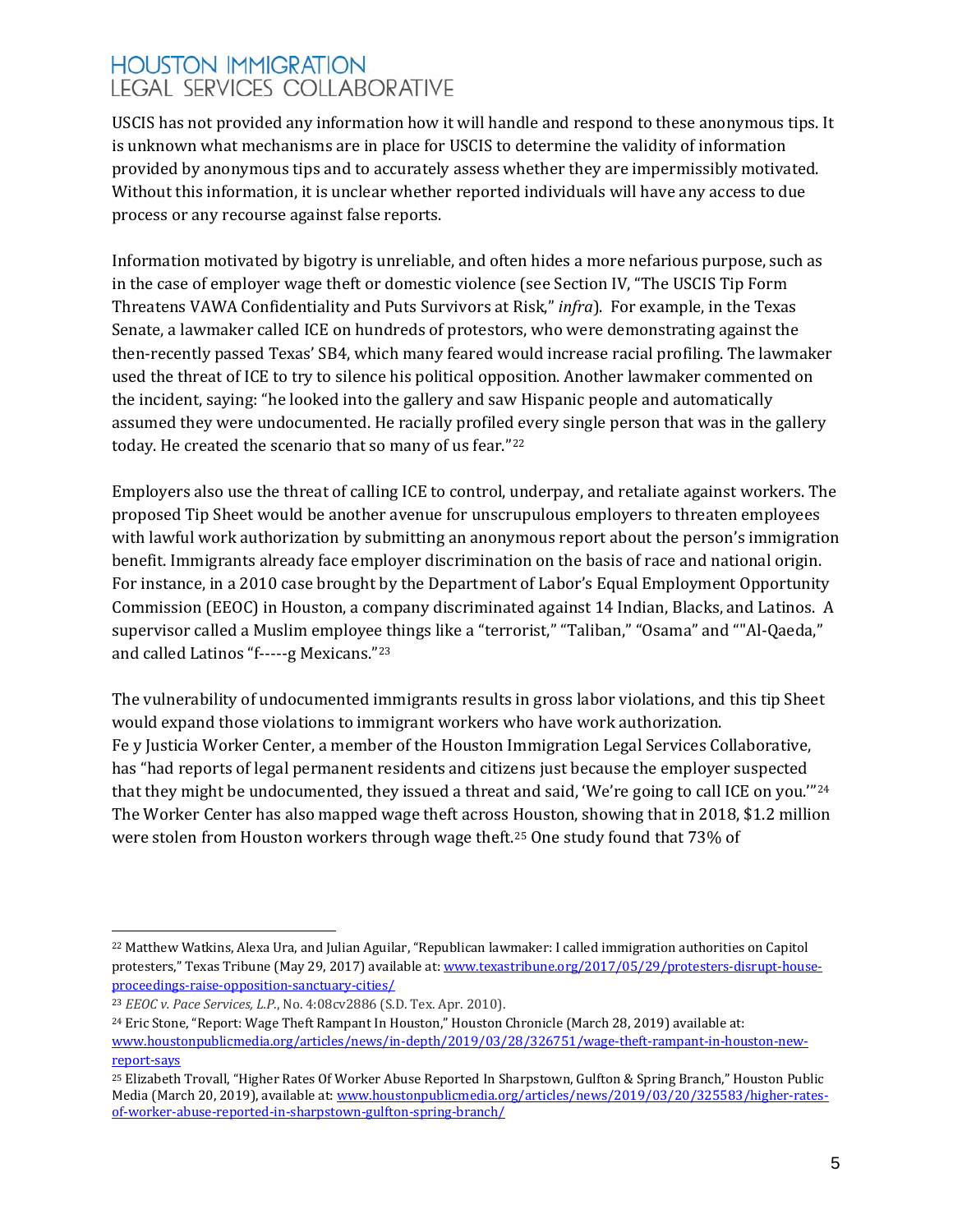USCIS has not provided any information how it will handle and respond to these anonymous tips. It is unknown what mechanisms are in place for USCIS to determine the validity of information provided by anonymous tips and to accurately assess whether they are impermissibly motivated. Without this information, it is unclear whether reported individuals will have any access to due process or any recourse against false reports.

Information motivated by bigotry is unreliable, and often hides a more nefarious purpose, such as in the case of employer wage theft or domestic violence (see Section IV, "The USCIS Tip Form Threatens VAWA Confidentiality and Puts Survivors at Risk," *infra*). For example, in the Texas Senate, a lawmaker called ICE on hundreds of protestors, who were demonstrating against the then-recently passed Texas' SB4, which many feared would increase racial profiling. The lawmaker used the threat of ICE to try to silence his political opposition. Another lawmaker commented on the incident, saying: "he looked into the gallery and saw Hispanic people and automatically assumed they were undocumented. He racially profiled every single person that was in the gallery today. He created the scenario that so many of us fear."[22](#page-4-0)

Employers also use the threat of calling ICE to control, underpay, and retaliate against workers. The proposed Tip Sheet would be another avenue for unscrupulous employers to threaten employees with lawful work authorization by submitting an anonymous report about the person's immigration benefit. Immigrants already face employer discrimination on the basis of race and national origin. For instance, in a 2010 case brought by the Department of Labor's Equal Employment Opportunity Commission (EEOC) in Houston, a company discriminated against 14 Indian, Blacks, and Latinos. A supervisor called a Muslim employee things like a "terrorist," "Taliban," "Osama" and ""Al-Qaeda," and called Latinos "f-----g Mexicans."[23](#page-4-1)

The vulnerability of undocumented immigrants results in gross labor violations, and this tip Sheet would expand those violations to immigrant workers who have work authorization. Fe y Justicia Worker Center, a member of the Houston Immigration Legal Services Collaborative, has "had reports of legal permanent residents and citizens just because the employer suspected that they might be undocumented, they issued a threat and said, 'We're going to call ICE on you."<sup>[24](#page-4-2)</sup> The Worker Center has also mapped wage theft across Houston, showing that in 2018, \$1.2 million were stolen from Houston workers through wage theft.[25](#page-4-3) One study found that 73% of

<span id="page-4-0"></span> $\overline{a}$ <sup>22</sup> Matthew Watkins, Alexa Ura, and Julian Aguilar, "Republican lawmaker: I called immigration authorities on Capitol protesters," Texas Tribune (May 29, 2017) available at[: www.texastribune.org/2017/05/29/protesters-disrupt-house](https://www.texastribune.org/2017/05/29/protesters-disrupt-house-proceedings-raise-opposition-sanctuary-cities/)[proceedings-raise-opposition-sanctuary-cities/](https://www.texastribune.org/2017/05/29/protesters-disrupt-house-proceedings-raise-opposition-sanctuary-cities/)

<span id="page-4-1"></span><sup>23</sup> *EEOC v. Pace Services, L.P.*, No. 4:08cv2886 (S.D. Tex. Apr. 2010).

<span id="page-4-2"></span><sup>24</sup> Eric Stone, "Report: Wage Theft Rampant In Houston," Houston Chronicle (March 28, 2019) available at: [www.houstonpublicmedia.org/articles/news/in-depth/2019/03/28/326751/wage-theft-rampant-in-houston-new](https://www.houstonpublicmedia.org/articles/news/in-depth/2019/03/28/326751/wage-theft-rampant-in-houston-new-report-says)[report-says](https://www.houstonpublicmedia.org/articles/news/in-depth/2019/03/28/326751/wage-theft-rampant-in-houston-new-report-says)

<span id="page-4-3"></span><sup>25</sup> Elizabeth Trovall, "Higher Rates Of Worker Abuse Reported In Sharpstown, Gulfton & Spring Branch," Houston Public Media (March 20, 2019), available at[: www.houstonpublicmedia.org/articles/news/2019/03/20/325583/higher-rates](https://www.houstonpublicmedia.org/articles/news/2019/03/20/325583/higher-rates-of-worker-abuse-reported-in-sharpstown-gulfton-spring-branch/)[of-worker-abuse-reported-in-sharpstown-gulfton-spring-branch/](https://www.houstonpublicmedia.org/articles/news/2019/03/20/325583/higher-rates-of-worker-abuse-reported-in-sharpstown-gulfton-spring-branch/)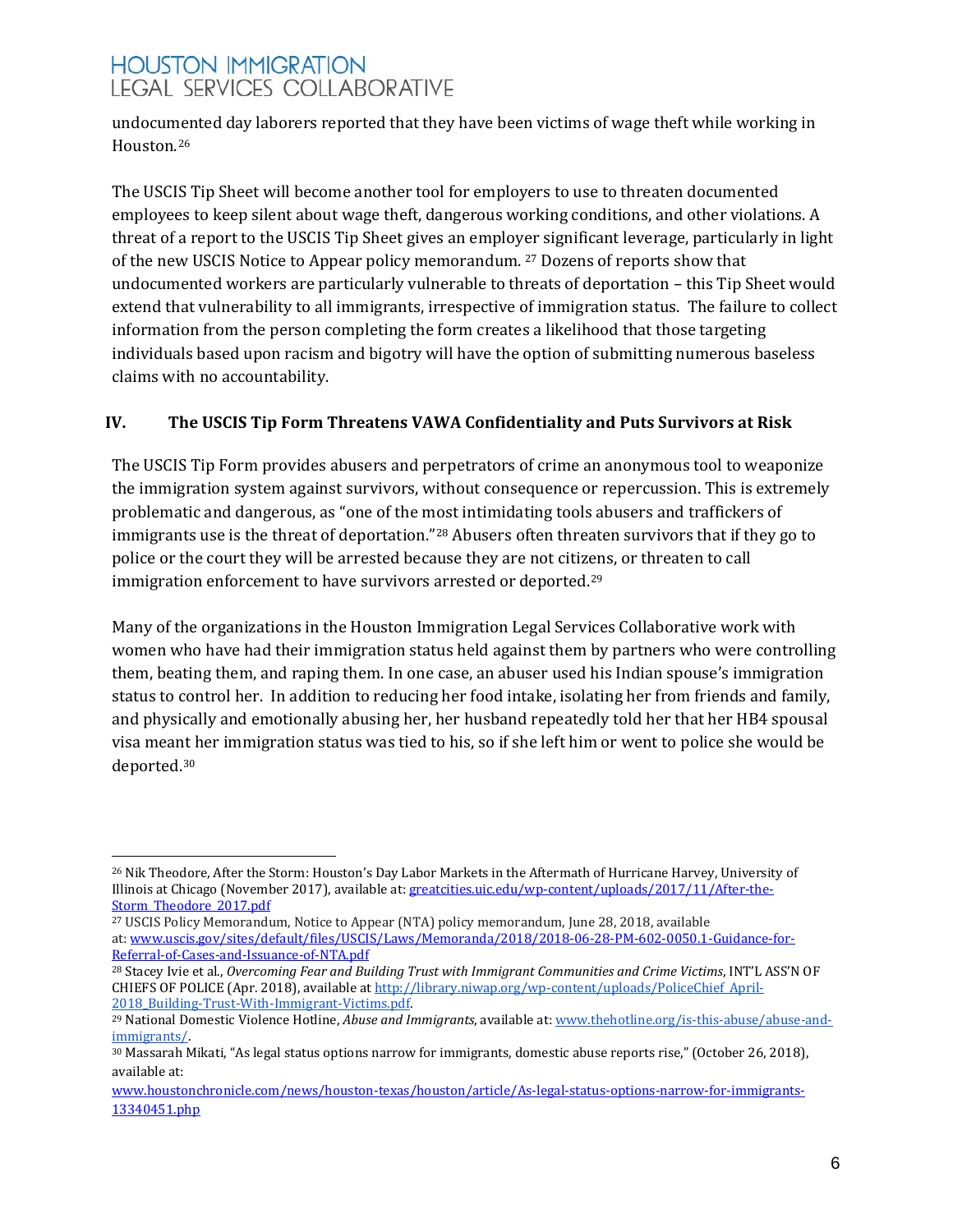undocumented day laborers reported that they have been victims of wage theft while working in Houston.[26](#page-5-0)

The USCIS Tip Sheet will become another tool for employers to use to threaten documented employees to keep silent about wage theft, dangerous working conditions, and other violations. A threat of a report to the USCIS Tip Sheet gives an employ[er](#page-5-1) significant leverage, particularly in light of the new USCIS Notice to Appear policy memorandum. <sup>27</sup> Dozens of reports show that undocumented workers are particularly vulnerable to threats of deportation – this Tip Sheet would extend that vulnerability to all immigrants, irrespective of immigration status. The failure to collect information from the person completing the form creates a likelihood that those targeting individuals based upon racism and bigotry will have the option of submitting numerous baseless claims with no accountability.

### **IV. The USCIS Tip Form Threatens VAWA Confidentiality and Puts Survivors at Risk**

The USCIS Tip Form provides abusers and perpetrators of crime an anonymous tool to weaponize the immigration system against survivors, without consequence or repercussion. This is extremely problematic and dangerous, as "one of the most intimidating tools abusers and traffickers of immigrants use is the threat of deportation."[28](#page-5-2) Abusers often threaten survivors that if they go to police or the court they will be arrested because they are not citiz[en](#page-5-3)s, or threaten to call immigration enforcement to have survivors arrested or deported.<sup>29</sup>

Many of the organizations in the Houston Immigration Legal Services Collaborative work with women who have had their immigration status held against them by partners who were controlling them, beating them, and raping them. In one case, an abuser used his Indian spouse's immigration status to control her. In addition to reducing her food intake, isolating her from friends and family, and physically and emotionally abusing her, her husband repeatedly told her that her HB4 spousal visa mea[nt h](#page-5-4)er immigration status was tied to his, so if she left him or went to police she would be deported.30

<span id="page-5-0"></span> $\overline{a}$ <sup>26</sup> Nik Theodore, After the Storm: Houston's Day Labor Markets in the Aftermath of Hurricane Harvey, University of Illinois at Chicago (November 2017), available at[: greatcities.uic.edu/wp-content/uploads/2017/11/After-the-](https://greatcities.uic.edu/wp-content/uploads/2017/11/After-the-Storm_Theodore_2017.pdf)Storm Theodore 2017.pdf

<span id="page-5-1"></span><sup>27</sup> USCIS Policy Memorandum, Notice to Appear (NTA) policy memorandum, June 28, 2018, available at: [www.uscis.gov/sites/default/files/USCIS/Laws/Memoranda/2018/2018-06-28-PM-602-0050.1-Guidance-for-](http://www.uscis.gov/sites/default/files/USCIS/Laws/Memoranda/2018/2018-06-28-PM-602-0050.1-Guidance-for-Referral-of-Cases-and-Issuance-of-NTA.pdf)[Referral-of-Cases-and-Issuance-of-NTA.pdf](http://www.uscis.gov/sites/default/files/USCIS/Laws/Memoranda/2018/2018-06-28-PM-602-0050.1-Guidance-for-Referral-of-Cases-and-Issuance-of-NTA.pdf)

<span id="page-5-2"></span><sup>28</sup> Stacey Ivie et al., *Overcoming Fear and Building Trust with Immigrant Communities and Crime Victims*, INT'L ASS'N OF CHIEFS OF POLICE (Apr. 2018), available at http://library.niwap.org/wp-content/uploads/PoliceChief April-<br>2018 Building-Trust-With-Immigrant-Victims.pdf.

<span id="page-5-3"></span><sup>&</sup>lt;sup>29</sup> National Domestic Violence Hotline, *Abuse and Immigrants*, available at[: www.thehotline.org/is-this-abuse/abuse-and](https://www.thehotline.org/is-this-abuse/abuse-and-immigrants/)[immigrants/.](https://www.thehotline.org/is-this-abuse/abuse-and-immigrants/)

<span id="page-5-4"></span><sup>30</sup> Massarah Mikati, "As legal status options narrow for immigrants, domestic abuse reports rise," (October 26, 2018), available at:

[www.houstonchronicle.com/news/houston-texas/houston/article/As-legal-status-options-narrow-for-immigrants-](http://www.houstonchronicle.com/news/houston-texas/houston/article/As-legal-status-options-narrow-for-immigrants-13340451.php)[13340451.php](http://www.houstonchronicle.com/news/houston-texas/houston/article/As-legal-status-options-narrow-for-immigrants-13340451.php)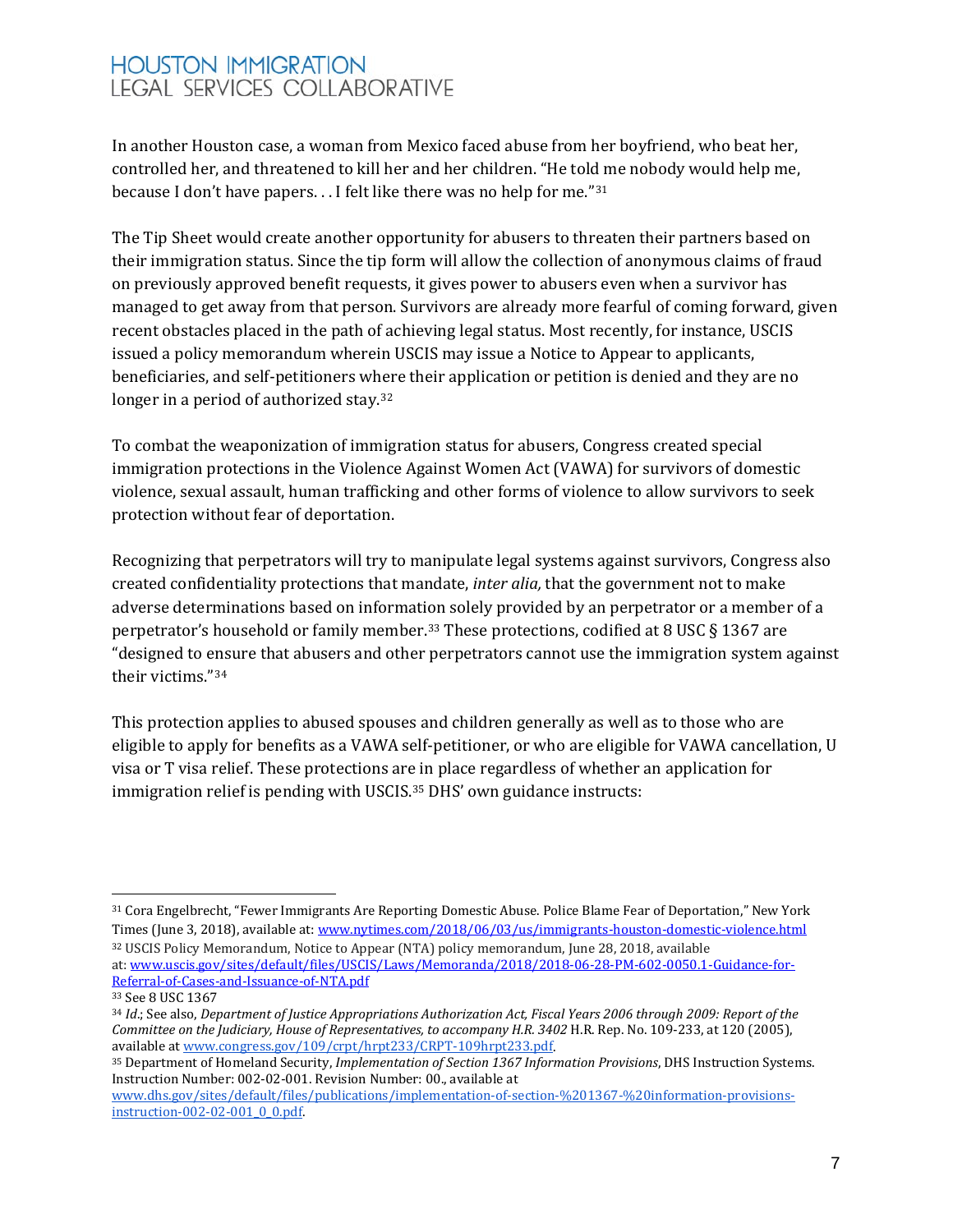In another Houston case, a woman from Mexico faced abuse from her boyfriend, who beat her, controlled her, and threatened to kill her and her children. "He told me nobody would help me, because I don't have papers. . . I felt like there was no help for me."[31](#page-6-0) 

The Tip Sheet would create another opportunity for abusers to threaten their partners based on their immigration status. Since the tip form will allow the collection of anonymous claims of fraud on previously approved benefit requests, it gives power to abusers even when a survivor has managed to get away from that person. Survivors are already more fearful of coming forward, given recent obstacles placed in the path of achieving legal status. Most recently, for instance, USCIS issued a policy memorandum wherein USCIS may issue a Notice to Appear to applicants, beneficiaries, and self-petitioners w[her](#page-6-1)e their application or petition is denied and they are no longer in a period of authorized stay.<sup>32</sup>

To combat the weaponization of immigration status for abusers, Congress created special immigration protections in the Violence Against Women Act (VAWA) for survivors of domestic violence, sexual assault, human trafficking and other forms of violence to allow survivors to seek protection without fear of deportation.

Recognizing that perpetrators will try to manipulate legal systems against survivors, Congress also created confidentiality protections that mandate, *inter alia,* that the government not to make adverse determinations based on information solely provided by an perpetrator or a member of a perpetrator's household or family member.[33](#page-6-2) These protections, codified at 8 USC § 1367 are "designed to ensure that abusers and other perpetrators cannot use the immigration system against their victims."[34](#page-6-3)

This protection applies to abused spouses and children generally as well as to those who are eligible to apply for benefits as a VAWA self-petitioner, or who are eligible for VAWA cancellation, U visa or T visa relief. These protections are in place regardless of whether an application for immigration relief is pending with USCIS.<sup>[35](#page-6-4)</sup> DHS' own guidance instructs:

<span id="page-6-0"></span> $\overline{a}$ <sup>31</sup> Cora Engelbrecht, "Fewer Immigrants Are Reporting Domestic Abuse. Police Blame Fear of Deportation," New York Times (June 3, 2018), available at[: www.nytimes.com/2018/06/03/us/immigrants-houston-domestic-violence.html](https://www.nytimes.com/2018/06/03/us/immigrants-houston-domestic-violence.html) <sup>32</sup> USCIS Policy Memorandum, Notice to Appear (NTA) policy memorandum, June 28, 2018, available

<span id="page-6-1"></span>at: [www.uscis.gov/sites/default/files/USCIS/Laws/Memoranda/2018/2018-06-28-PM-602-0050.1-Guidance-for-](http://www.uscis.gov/sites/default/files/USCIS/Laws/Memoranda/2018/2018-06-28-PM-602-0050.1-Guidance-for-Referral-of-Cases-and-Issuance-of-NTA.pdf)[Referral-of-Cases-and-Issuance-of-NTA.pdf](http://www.uscis.gov/sites/default/files/USCIS/Laws/Memoranda/2018/2018-06-28-PM-602-0050.1-Guidance-for-Referral-of-Cases-and-Issuance-of-NTA.pdf)

<span id="page-6-2"></span><sup>33</sup> See 8 USC 1367

<span id="page-6-3"></span><sup>34</sup> *Id*.; See also, *Department of Justice Appropriations Authorization Act, Fiscal Years 2006 through 2009: Report of the Committee on the Judiciary, House of Representatives, to accompany H.R. 3402 H.R. Rep. No. 109-233, at 120 (2005),* available at [www.congress.gov/109/crpt/hrpt233/CRPT-109hrpt233.pdf.](https://www.congress.gov/109/crpt/hrpt233/CRPT-109hrpt233.pdf)

<span id="page-6-4"></span><sup>35</sup> Department of Homeland Security, *Implementation of Section 1367 Information Provisions*, DHS Instruction Systems. Instruction Number: 002-02-001. Revision Number: 00., available at

[www.dhs.gov/sites/default/files/publications/implementation-of-section-%201367-%20information-provisions](https://www.dhs.gov/sites/default/files/publications/implementation-of-section-%201367-%20information-provisions-instruction-002-02-001_0_0.pdf)[instruction-002-02-001\\_0\\_0.pdf.](https://www.dhs.gov/sites/default/files/publications/implementation-of-section-%201367-%20information-provisions-instruction-002-02-001_0_0.pdf)